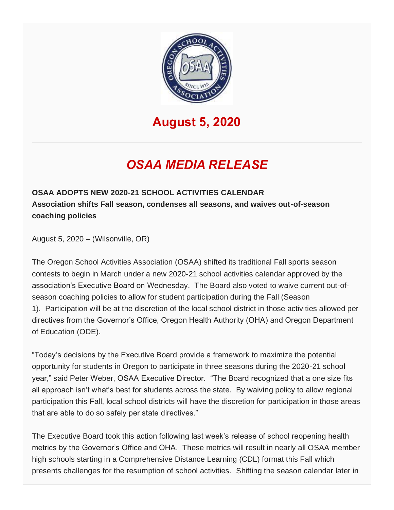

## **August 5, 2020**

## *OSAA MEDIA RELEASE*

**OSAA ADOPTS NEW 2020-21 SCHOOL ACTIVITIES CALENDAR Association shifts Fall season, condenses all seasons, and waives out-of-season coaching policies**

August 5, 2020 – (Wilsonville, OR)

The Oregon School Activities Association (OSAA) shifted its traditional Fall sports season contests to begin in March under a new 2020-21 school activities calendar approved by the association's Executive Board on Wednesday. The Board also voted to waive current out-ofseason coaching policies to allow for student participation during the Fall (Season 1). Participation will be at the discretion of the local school district in those activities allowed per directives from the Governor's Office, Oregon Health Authority (OHA) and Oregon Department of Education (ODE).

"Today's decisions by the Executive Board provide a framework to maximize the potential opportunity for students in Oregon to participate in three seasons during the 2020-21 school year," said Peter Weber, OSAA Executive Director. "The Board recognized that a one size fits all approach isn't what's best for students across the state. By waiving policy to allow regional participation this Fall, local school districts will have the discretion for participation in those areas that are able to do so safely per state directives."

The Executive Board took this action following last week's release of school reopening health metrics by the Governor's Office and OHA. These metrics will result in nearly all OSAA member high schools starting in a Comprehensive Distance Learning (CDL) format this Fall which presents challenges for the resumption of school activities. Shifting the season calendar later in